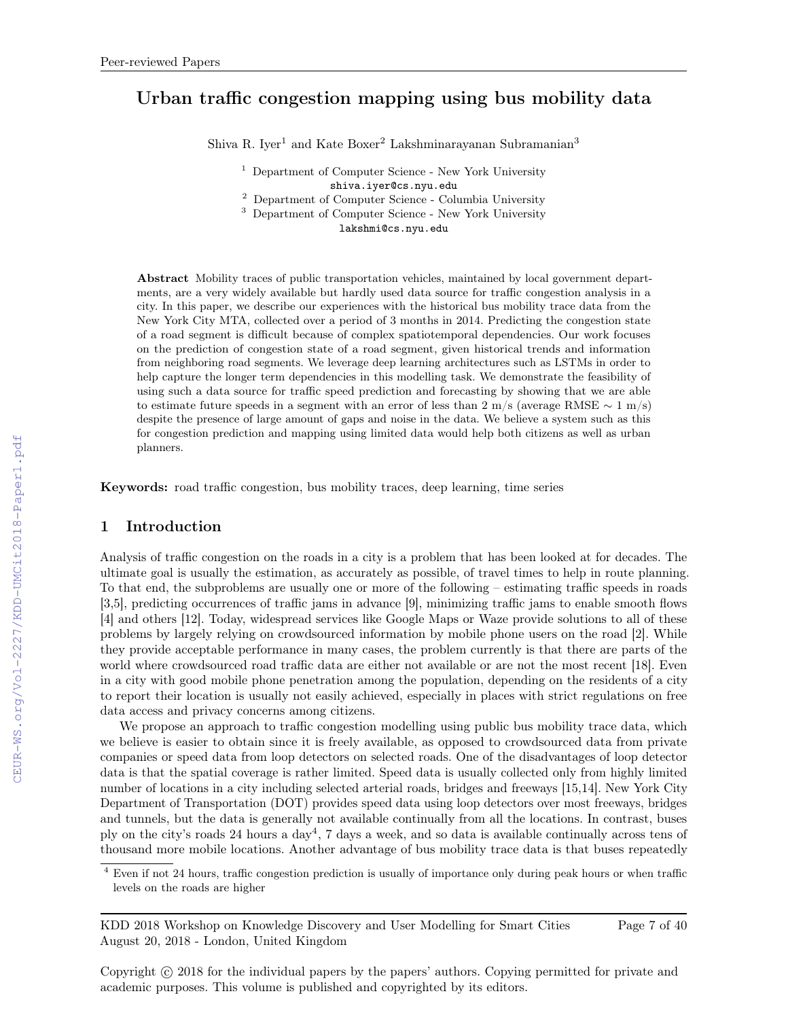# Urban traffic congestion mapping using bus mobility data

Shiva R. Iyer<sup>1</sup> and Kate Boxer<sup>2</sup> Lakshminarayanan Subramanian<sup>3</sup>

<sup>1</sup> Department of Computer Science - New York University shiva.iyer@cs.nyu.edu

<sup>2</sup> Department of Computer Science - Columbia University

<sup>3</sup> Department of Computer Science - New York University

lakshmi@cs.nyu.edu

Abstract Mobility traces of public transportation vehicles, maintained by local government departments, are a very widely available but hardly used data source for traffic congestion analysis in a city. In this paper, we describe our experiences with the historical bus mobility trace data from the New York City MTA, collected over a period of 3 months in 2014. Predicting the congestion state of a road segment is difficult because of complex spatiotemporal dependencies. Our work focuses on the prediction of congestion state of a road segment, given historical trends and information from neighboring road segments. We leverage deep learning architectures such as LSTMs in order to help capture the longer term dependencies in this modelling task. We demonstrate the feasibility of using such a data source for traffic speed prediction and forecasting by showing that we are able to estimate future speeds in a segment with an error of less than 2 m/s (average RMSE  $\sim 1$  m/s) despite the presence of large amount of gaps and noise in the data. We believe a system such as this for congestion prediction and mapping using limited data would help both citizens as well as urban planners.

Keywords: road traffic congestion, bus mobility traces, deep learning, time series

### 1 Introduction

Analysis of traffic congestion on the roads in a city is a problem that has been looked at for decades. The ultimate goal is usually the estimation, as accurately as possible, of travel times to help in route planning. To that end, the subproblems are usually one or more of the following – estimating traffic speeds in roads [3,5], predicting occurrences of traffic jams in advance [9], minimizing traffic jams to enable smooth flows [4] and others [12]. Today, widespread services like Google Maps or Waze provide solutions to all of these problems by largely relying on crowdsourced information by mobile phone users on the road [2]. While they provide acceptable performance in many cases, the problem currently is that there are parts of the world where crowdsourced road traffic data are either not available or are not the most recent [18]. Even in a city with good mobile phone penetration among the population, depending on the residents of a city to report their location is usually not easily achieved, especially in places with strict regulations on free data access and privacy concerns among citizens.

We propose an approach to traffic congestion modelling using public bus mobility trace data, which we believe is easier to obtain since it is freely available, as opposed to crowdsourced data from private companies or speed data from loop detectors on selected roads. One of the disadvantages of loop detector data is that the spatial coverage is rather limited. Speed data is usually collected only from highly limited number of locations in a city including selected arterial roads, bridges and freeways [15,14]. New York City Department of Transportation (DOT) provides speed data using loop detectors over most freeways, bridges and tunnels, but the data is generally not available continually from all the locations. In contrast, buses ply on the city's roads 24 hours a day<sup>4</sup>, 7 days a week, and so data is available continually across tens of thousand more mobile locations. Another advantage of bus mobility trace data is that buses repeatedly

KDD 2018 Workshop on Knowledge Discovery and User Modelling for Smart Cities August 20, 2018 - London, United Kingdom

Page 7 of 40

<sup>&</sup>lt;sup>4</sup> Even if not 24 hours, traffic congestion prediction is usually of importance only during peak hours or when traffic levels on the roads are higher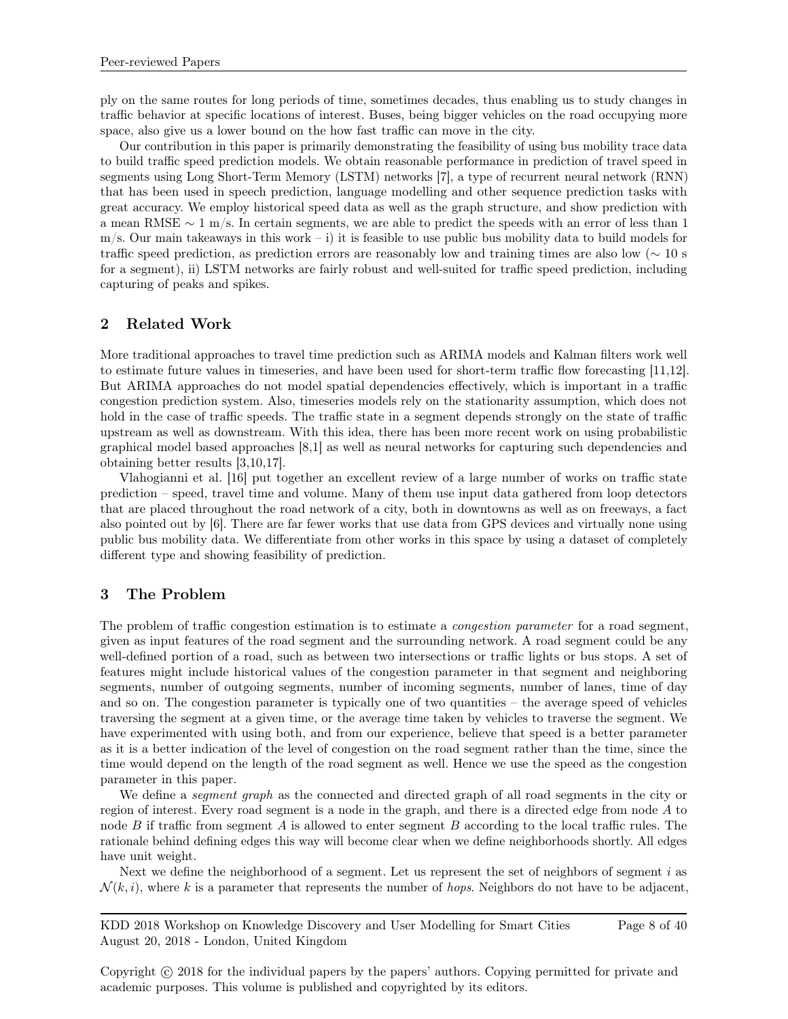ply on the same routes for long periods of time, sometimes decades, thus enabling us to study changes in traffic behavior at specific locations of interest. Buses, being bigger vehicles on the road occupying more space, also give us a lower bound on the how fast traffic can move in the city.

Our contribution in this paper is primarily demonstrating the feasibility of using bus mobility trace data to build traffic speed prediction models. We obtain reasonable performance in prediction of travel speed in segments using Long Short-Term Memory (LSTM) networks [7], a type of recurrent neural network (RNN) that has been used in speech prediction, language modelling and other sequence prediction tasks with great accuracy. We employ historical speed data as well as the graph structure, and show prediction with a mean RMSE ∼ 1 m/s. In certain segments, we are able to predict the speeds with an error of less than 1  $m/s$ . Our main takeaways in this work – i) it is feasible to use public bus mobility data to build models for traffic speed prediction, as prediction errors are reasonably low and training times are also low (∼ 10 s for a segment), ii) LSTM networks are fairly robust and well-suited for traffic speed prediction, including capturing of peaks and spikes.

# 2 Related Work

More traditional approaches to travel time prediction such as ARIMA models and Kalman filters work well to estimate future values in timeseries, and have been used for short-term traffic flow forecasting [11,12]. But ARIMA approaches do not model spatial dependencies effectively, which is important in a traffic congestion prediction system. Also, timeseries models rely on the stationarity assumption, which does not hold in the case of traffic speeds. The traffic state in a segment depends strongly on the state of traffic upstream as well as downstream. With this idea, there has been more recent work on using probabilistic graphical model based approaches [8,1] as well as neural networks for capturing such dependencies and obtaining better results [3,10,17].

Vlahogianni et al. [16] put together an excellent review of a large number of works on traffic state prediction – speed, travel time and volume. Many of them use input data gathered from loop detectors that are placed throughout the road network of a city, both in downtowns as well as on freeways, a fact also pointed out by [6]. There are far fewer works that use data from GPS devices and virtually none using public bus mobility data. We differentiate from other works in this space by using a dataset of completely different type and showing feasibility of prediction.

## 3 The Problem

The problem of traffic congestion estimation is to estimate a *congestion parameter* for a road segment, given as input features of the road segment and the surrounding network. A road segment could be any well-defined portion of a road, such as between two intersections or traffic lights or bus stops. A set of features might include historical values of the congestion parameter in that segment and neighboring segments, number of outgoing segments, number of incoming segments, number of lanes, time of day and so on. The congestion parameter is typically one of two quantities – the average speed of vehicles traversing the segment at a given time, or the average time taken by vehicles to traverse the segment. We have experimented with using both, and from our experience, believe that speed is a better parameter as it is a better indication of the level of congestion on the road segment rather than the time, since the time would depend on the length of the road segment as well. Hence we use the speed as the congestion parameter in this paper.

We define a *segment graph* as the connected and directed graph of all road segments in the city or region of interest. Every road segment is a node in the graph, and there is a directed edge from node A to node  $B$  if traffic from segment  $A$  is allowed to enter segment  $B$  according to the local traffic rules. The rationale behind defining edges this way will become clear when we define neighborhoods shortly. All edges have unit weight.

Next we define the neighborhood of a segment. Let us represent the set of neighbors of segment  $i$  as  $\mathcal{N}(k, i)$ , where k is a parameter that represents the number of hops. Neighbors do not have to be adjacent,

KDD 2018 Workshop on Knowledge Discovery and User Modelling for Smart Cities August 20, 2018 - London, United Kingdom Page 8 of 40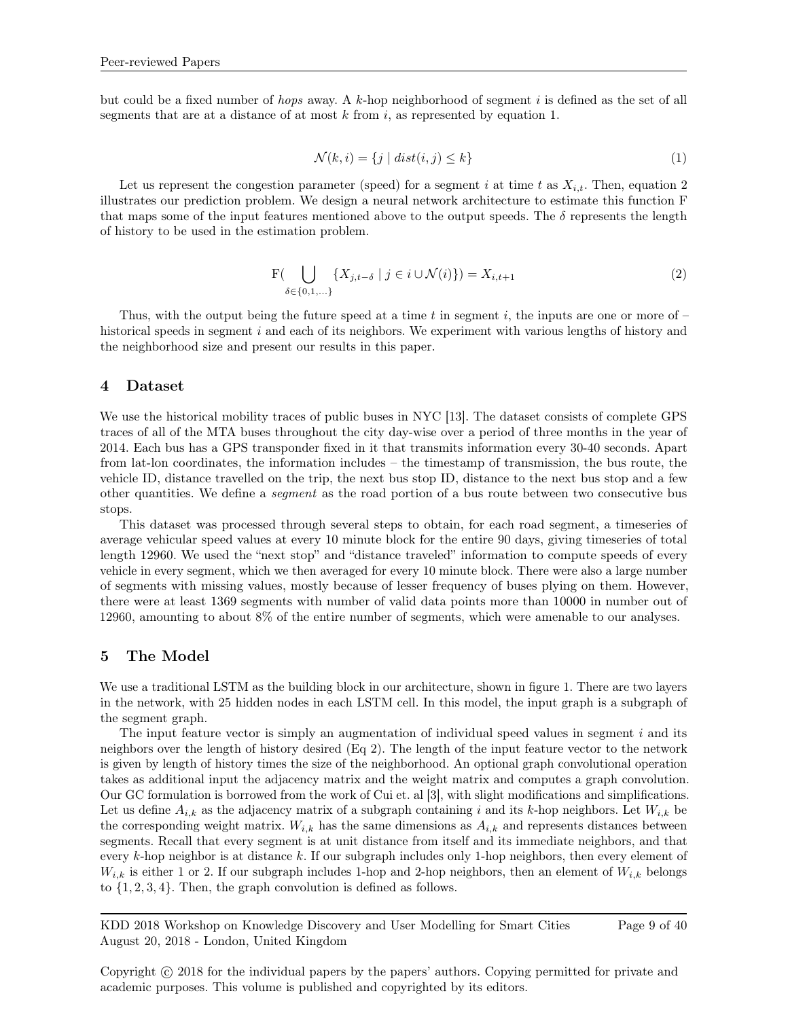but could be a fixed number of *hops* away. A  $k$ -hop neighborhood of segment i is defined as the set of all segments that are at a distance of at most  $k$  from  $i$ , as represented by equation 1.

$$
\mathcal{N}(k,i) = \{ j \mid dist(i,j) \le k \}
$$
\n<sup>(1)</sup>

Let us represent the congestion parameter (speed) for a segment i at time t as  $X_{i,t}$ . Then, equation 2 illustrates our prediction problem. We design a neural network architecture to estimate this function F that maps some of the input features mentioned above to the output speeds. The  $\delta$  represents the length of history to be used in the estimation problem.

$$
F(\bigcup_{\delta \in \{0,1,\ldots\}} \{X_{j,t-\delta} \mid j \in i \cup \mathcal{N}(i)\}) = X_{i,t+1}
$$
\n(2)

Thus, with the output being the future speed at a time t in segment i, the inputs are one or more of  $$ historical speeds in segment i and each of its neighbors. We experiment with various lengths of history and the neighborhood size and present our results in this paper.

#### 4 Dataset

We use the historical mobility traces of public buses in NYC [13]. The dataset consists of complete GPS traces of all of the MTA buses throughout the city day-wise over a period of three months in the year of 2014. Each bus has a GPS transponder fixed in it that transmits information every 30-40 seconds. Apart from lat-lon coordinates, the information includes – the timestamp of transmission, the bus route, the vehicle ID, distance travelled on the trip, the next bus stop ID, distance to the next bus stop and a few other quantities. We define a segment as the road portion of a bus route between two consecutive bus stops.

This dataset was processed through several steps to obtain, for each road segment, a timeseries of average vehicular speed values at every 10 minute block for the entire 90 days, giving timeseries of total length 12960. We used the "next stop" and "distance traveled" information to compute speeds of every vehicle in every segment, which we then averaged for every 10 minute block. There were also a large number of segments with missing values, mostly because of lesser frequency of buses plying on them. However, there were at least 1369 segments with number of valid data points more than 10000 in number out of 12960, amounting to about 8% of the entire number of segments, which were amenable to our analyses.

#### 5 The Model

We use a traditional LSTM as the building block in our architecture, shown in figure 1. There are two layers in the network, with 25 hidden nodes in each LSTM cell. In this model, the input graph is a subgraph of the segment graph.

The input feature vector is simply an augmentation of individual speed values in segment  $i$  and its neighbors over the length of history desired (Eq 2). The length of the input feature vector to the network is given by length of history times the size of the neighborhood. An optional graph convolutional operation takes as additional input the adjacency matrix and the weight matrix and computes a graph convolution. Our GC formulation is borrowed from the work of Cui et. al [3], with slight modifications and simplifications. Let us define  $A_{i,k}$  as the adjacency matrix of a subgraph containing i and its k-hop neighbors. Let  $W_{i,k}$  be the corresponding weight matrix.  $W_{i,k}$  has the same dimensions as  $A_{i,k}$  and represents distances between segments. Recall that every segment is at unit distance from itself and its immediate neighbors, and that every k-hop neighbor is at distance k. If our subgraph includes only 1-hop neighbors, then every element of  $W_{i,k}$  is either 1 or 2. If our subgraph includes 1-hop and 2-hop neighbors, then an element of  $W_{i,k}$  belongs to  $\{1, 2, 3, 4\}$ . Then, the graph convolution is defined as follows.

KDD 2018 Workshop on Knowledge Discovery and User Modelling for Smart Cities August 20, 2018 - London, United Kingdom Page 9 of 40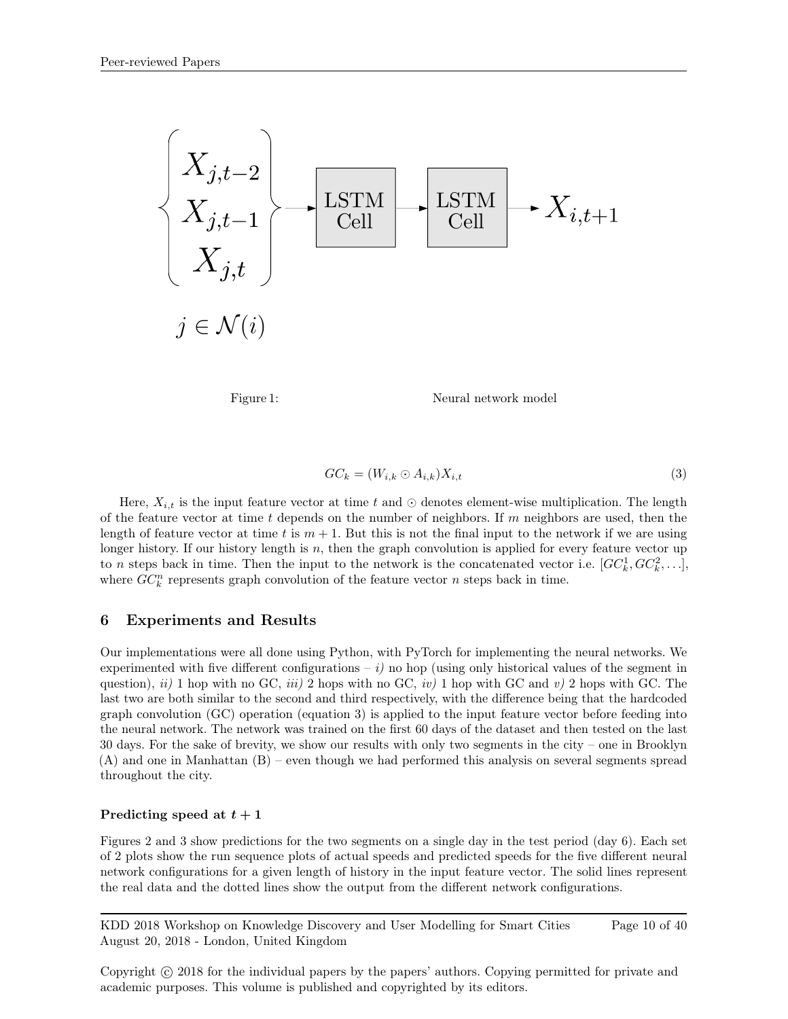

Figure 1: Neural network model

$$
GC_k = (W_{i,k} \odot A_{i,k})X_{i,t} \tag{3}
$$

Here,  $X_{i,t}$  is the input feature vector at time t and  $\odot$  denotes element-wise multiplication. The length of the feature vector at time t depends on the number of neighbors. If m neighbors are used, then the length of feature vector at time t is  $m + 1$ . But this is not the final input to the network if we are using longer history. If our history length is  $n$ , then the graph convolution is applied for every feature vector up to *n* steps back in time. Then the input to the network is the concatenated vector i.e.  $[GC_k^1, GC_k^2,...]$ , where  $GC_k^n$  represents graph convolution of the feature vector n steps back in time.

## 6 Experiments and Results

Our implementations were all done using Python, with PyTorch for implementing the neural networks. We experimented with five different configurations –  $i$ ) no hop (using only historical values of the segment in question), ii) 1 hop with no GC, iii) 2 hops with no GC, iv) 1 hop with GC and v) 2 hops with GC. The last two are both similar to the second and third respectively, with the difference being that the hardcoded graph convolution (GC) operation (equation 3) is applied to the input feature vector before feeding into the neural network. The network was trained on the first 60 days of the dataset and then tested on the last 30 days. For the sake of brevity, we show our results with only two segments in the city – one in Brooklyn (A) and one in Manhattan (B) – even though we had performed this analysis on several segments spread throughout the city.

#### Predicting speed at  $t + 1$

Figures 2 and 3 show predictions for the two segments on a single day in the test period (day 6). Each set of 2 plots show the run sequence plots of actual speeds and predicted speeds for the five different neural network configurations for a given length of history in the input feature vector. The solid lines represent the real data and the dotted lines show the output from the different network configurations.

KDD 2018 Workshop on Knowledge Discovery and User Modelling for Smart Cities August 20, 2018 - London, United Kingdom Page 10 of 40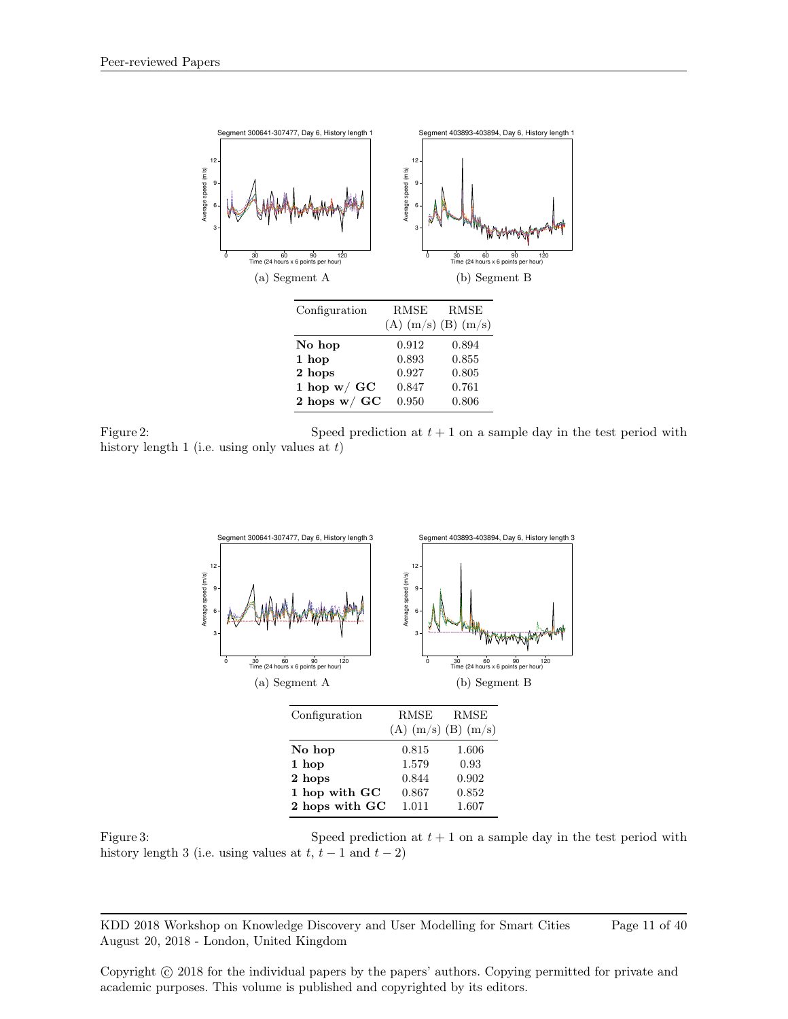

Figure 2: Speed prediction at  $t + 1$  on a sample day in the test period with history length 1 (i.e. using only values at  $t$ )



Figure 3: Speed prediction at  $t + 1$  on a sample day in the test period with history length 3 (i.e. using values at  $t, t-1$  and  $t-2$ )

KDD 2018 Workshop on Knowledge Discovery and User Modelling for Smart Cities August 20, 2018 - London, United Kingdom Page 11 of 40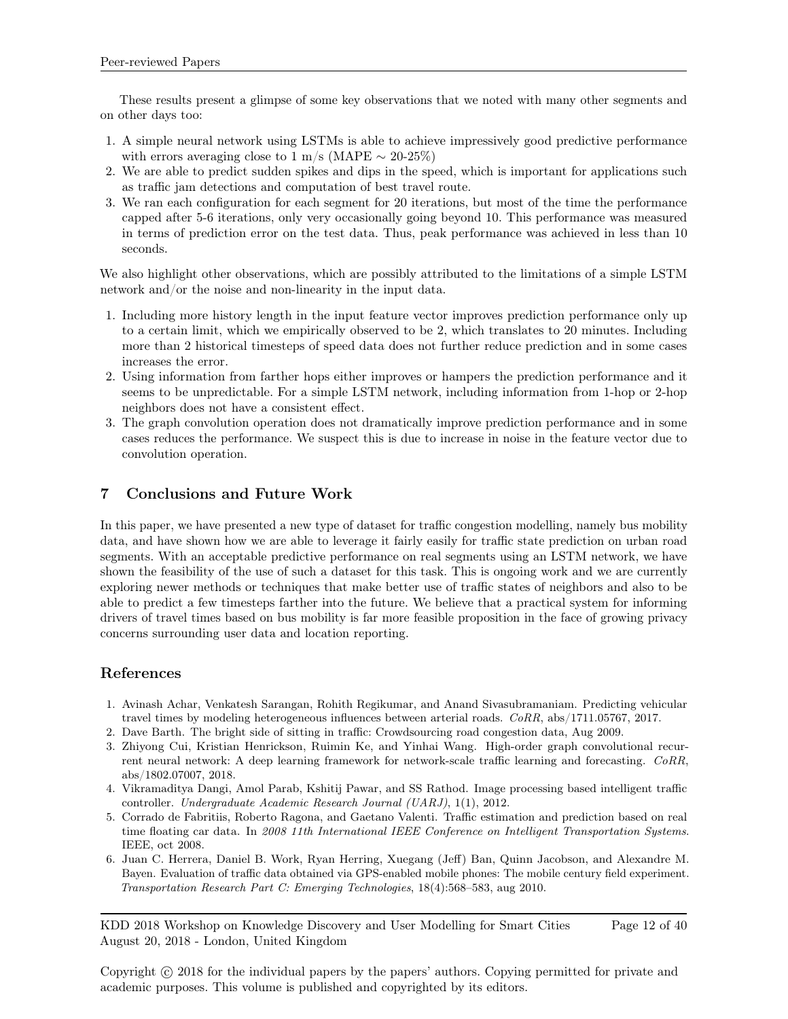These results present a glimpse of some key observations that we noted with many other segments and on other days too:

- 1. A simple neural network using LSTMs is able to achieve impressively good predictive performance with errors averaging close to 1 m/s (MAPE  $\sim$  20-25%)
- 2. We are able to predict sudden spikes and dips in the speed, which is important for applications such as traffic jam detections and computation of best travel route.
- 3. We ran each configuration for each segment for 20 iterations, but most of the time the performance capped after 5-6 iterations, only very occasionally going beyond 10. This performance was measured in terms of prediction error on the test data. Thus, peak performance was achieved in less than 10 seconds.

We also highlight other observations, which are possibly attributed to the limitations of a simple LSTM network and/or the noise and non-linearity in the input data.

- 1. Including more history length in the input feature vector improves prediction performance only up to a certain limit, which we empirically observed to be 2, which translates to 20 minutes. Including more than 2 historical timesteps of speed data does not further reduce prediction and in some cases increases the error.
- 2. Using information from farther hops either improves or hampers the prediction performance and it seems to be unpredictable. For a simple LSTM network, including information from 1-hop or 2-hop neighbors does not have a consistent effect.
- 3. The graph convolution operation does not dramatically improve prediction performance and in some cases reduces the performance. We suspect this is due to increase in noise in the feature vector due to convolution operation.

# 7 Conclusions and Future Work

In this paper, we have presented a new type of dataset for traffic congestion modelling, namely bus mobility data, and have shown how we are able to leverage it fairly easily for traffic state prediction on urban road segments. With an acceptable predictive performance on real segments using an LSTM network, we have shown the feasibility of the use of such a dataset for this task. This is ongoing work and we are currently exploring newer methods or techniques that make better use of traffic states of neighbors and also to be able to predict a few timesteps farther into the future. We believe that a practical system for informing drivers of travel times based on bus mobility is far more feasible proposition in the face of growing privacy concerns surrounding user data and location reporting.

# References

- 1. Avinash Achar, Venkatesh Sarangan, Rohith Regikumar, and Anand Sivasubramaniam. Predicting vehicular travel times by modeling heterogeneous influences between arterial roads. CoRR, abs/1711.05767, 2017.
- 2. Dave Barth. The bright side of sitting in traffic: Crowdsourcing road congestion data, Aug 2009.
- 3. Zhiyong Cui, Kristian Henrickson, Ruimin Ke, and Yinhai Wang. High-order graph convolutional recurrent neural network: A deep learning framework for network-scale traffic learning and forecasting. CoRR, abs/1802.07007, 2018.
- 4. Vikramaditya Dangi, Amol Parab, Kshitij Pawar, and SS Rathod. Image processing based intelligent traffic controller. Undergraduate Academic Research Journal (UARJ), 1(1), 2012.
- 5. Corrado de Fabritiis, Roberto Ragona, and Gaetano Valenti. Traffic estimation and prediction based on real time floating car data. In 2008 11th International IEEE Conference on Intelligent Transportation Systems. IEEE, oct 2008.
- 6. Juan C. Herrera, Daniel B. Work, Ryan Herring, Xuegang (Jeff) Ban, Quinn Jacobson, and Alexandre M. Bayen. Evaluation of traffic data obtained via GPS-enabled mobile phones: The mobile century field experiment. Transportation Research Part C: Emerging Technologies, 18(4):568–583, aug 2010.

KDD 2018 Workshop on Knowledge Discovery and User Modelling for Smart Cities August 20, 2018 - London, United Kingdom Page 12 of 40